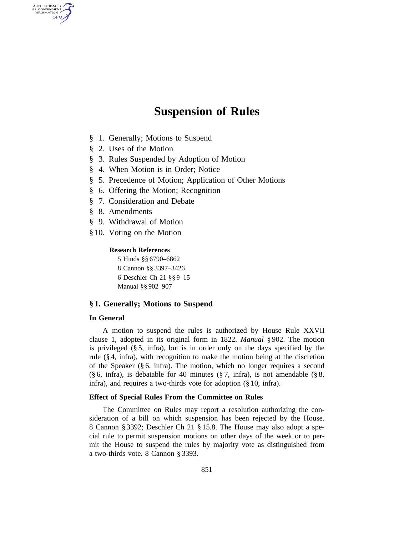# **Suspension of Rules**

- § 1. Generally; Motions to Suspend
- § 2. Uses of the Motion

AUTHENTICATED<br>U.S. GOVERNMENT<br>INFORMATION **GPO** 

- § 3. Rules Suspended by Adoption of Motion
- § 4. When Motion is in Order; Notice
- § 5. Precedence of Motion; Application of Other Motions
- § 6. Offering the Motion; Recognition
- § 7. Consideration and Debate
- § 8. Amendments
- § 9. Withdrawal of Motion
- § 10. Voting on the Motion

# **Research References**

5 Hinds §§ 6790–6862 8 Cannon §§ 3397–3426 6 Deschler Ch 21 §§ 9–15 Manual §§ 902–907

# **§ 1. Generally; Motions to Suspend**

#### **In General**

A motion to suspend the rules is authorized by House Rule XXVII clause 1, adopted in its original form in 1822. *Manual* § 902. The motion is privileged (§ 5, infra), but is in order only on the days specified by the rule (§ 4, infra), with recognition to make the motion being at the discretion of the Speaker (§ 6, infra). The motion, which no longer requires a second (§ 6, infra), is debatable for 40 minutes (§ 7, infra), is not amendable (§ 8, infra), and requires a two-thirds vote for adoption (§ 10, infra).

# **Effect of Special Rules From the Committee on Rules**

The Committee on Rules may report a resolution authorizing the consideration of a bill on which suspension has been rejected by the House. 8 Cannon § 3392; Deschler Ch 21 § 15.8. The House may also adopt a special rule to permit suspension motions on other days of the week or to permit the House to suspend the rules by majority vote as distinguished from a two-thirds vote. 8 Cannon § 3393.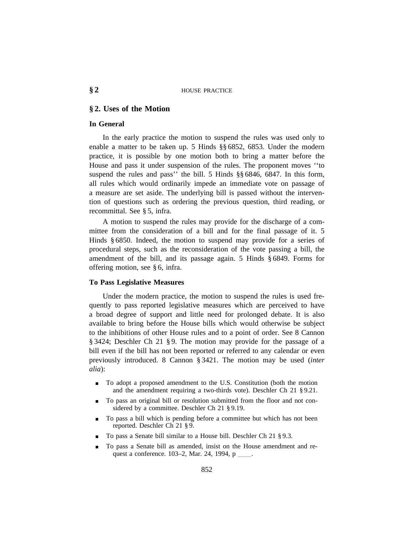# **§ 2. Uses of the Motion**

# **In General**

In the early practice the motion to suspend the rules was used only to enable a matter to be taken up. 5 Hinds §§ 6852, 6853. Under the modern practice, it is possible by one motion both to bring a matter before the House and pass it under suspension of the rules. The proponent moves ''to suspend the rules and pass'' the bill. 5 Hinds §§ 6846, 6847. In this form, all rules which would ordinarily impede an immediate vote on passage of a measure are set aside. The underlying bill is passed without the intervention of questions such as ordering the previous question, third reading, or recommittal. See § 5, infra.

A motion to suspend the rules may provide for the discharge of a committee from the consideration of a bill and for the final passage of it. 5 Hinds § 6850. Indeed, the motion to suspend may provide for a series of procedural steps, such as the reconsideration of the vote passing a bill, the amendment of the bill, and its passage again. 5 Hinds § 6849. Forms for offering motion, see § 6, infra.

# **To Pass Legislative Measures**

Under the modern practice, the motion to suspend the rules is used frequently to pass reported legislative measures which are perceived to have a broad degree of support and little need for prolonged debate. It is also available to bring before the House bills which would otherwise be subject to the inhibitions of other House rules and to a point of order. See 8 Cannon § 3424; Deschler Ch 21 § 9. The motion may provide for the passage of a bill even if the bill has not been reported or referred to any calendar or even previously introduced. 8 Cannon § 3421. The motion may be used (*inter alia*):

- To adopt a proposed amendment to the U.S. Constitution (both the motion and the amendment requiring a two-thirds vote). Deschler Ch 21 § 9.21.
- <sup>0</sup> To pass an original bill or resolution submitted from the floor and not considered by a committee. Deschler Ch 21 § 9.19.
- To pass a bill which is pending before a committee but which has not been reported. Deschler Ch 21 § 9.
- To pass a Senate bill similar to a House bill. Deschler Ch 21 § 9.3.
- To pass a Senate bill as amended, insist on the House amendment and request a conference. 103–2, Mar. 24, 1994, p \_\_\_\_.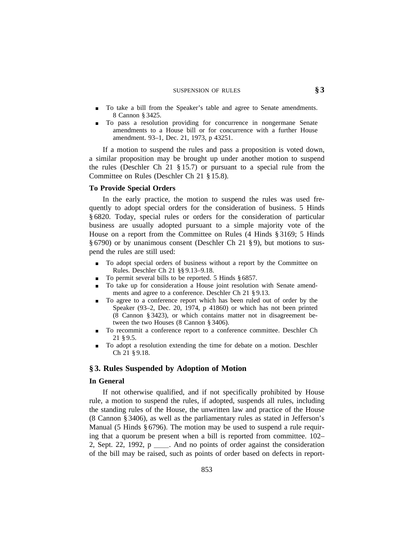### SUSPENSION OF RULES **§ 3**

- To take a bill from the Speaker's table and agree to Senate amendments. 8 Cannon § 3425.
- <sup>0</sup> To pass a resolution providing for concurrence in nongermane Senate amendments to a House bill or for concurrence with a further House amendment. 93–1, Dec. 21, 1973, p 43251.

If a motion to suspend the rules and pass a proposition is voted down, a similar proposition may be brought up under another motion to suspend the rules (Deschler Ch 21 § 15.7) or pursuant to a special rule from the Committee on Rules (Deschler Ch 21 § 15.8).

#### **To Provide Special Orders**

In the early practice, the motion to suspend the rules was used frequently to adopt special orders for the consideration of business. 5 Hinds § 6820. Today, special rules or orders for the consideration of particular business are usually adopted pursuant to a simple majority vote of the House on a report from the Committee on Rules (4 Hinds § 3169; 5 Hinds § 6790) or by unanimous consent (Deschler Ch 21 § 9), but motions to suspend the rules are still used:

- To adopt special orders of business without a report by the Committee on Rules. Deschler Ch 21 §§ 9.13–9.18.
- $\blacksquare$  To permit several bills to be reported. 5 Hinds § 6857.
- To take up for consideration a House joint resolution with Senate amendments and agree to a conference. Deschler Ch 21 § 9.13.
- To agree to a conference report which has been ruled out of order by the Speaker (93–2, Dec. 20, 1974, p 41860) or which has not been printed (8 Cannon § 3423), or which contains matter not in disagreement between the two Houses (8 Cannon § 3406).
- <sup>0</sup> To recommit a conference report to a conference committee. Deschler Ch 21 § 9.5.
- To adopt a resolution extending the time for debate on a motion. Deschler Ch 21 § 9.18.

# **§ 3. Rules Suspended by Adoption of Motion**

#### **In General**

If not otherwise qualified, and if not specifically prohibited by House rule, a motion to suspend the rules, if adopted, suspends all rules, including the standing rules of the House, the unwritten law and practice of the House (8 Cannon § 3406), as well as the parliamentary rules as stated in Jefferson's Manual (5 Hinds § 6796). The motion may be used to suspend a rule requiring that a quorum be present when a bill is reported from committee. 102– 2, Sept. 22, 1992,  $p \_$ . And no points of order against the consideration of the bill may be raised, such as points of order based on defects in report-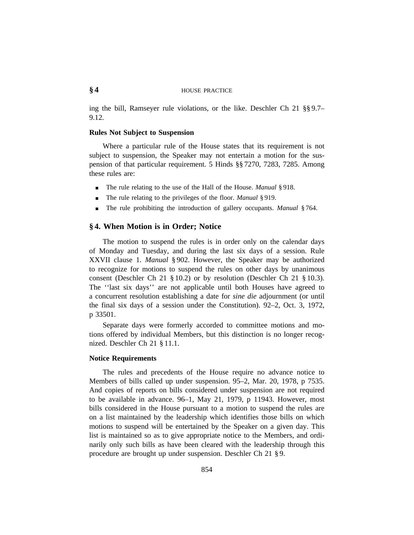# **§ 4** HOUSE PRACTICE

ing the bill, Ramseyer rule violations, or the like. Deschler Ch 21 §§ 9.7– 9.12.

# **Rules Not Subject to Suspension**

Where a particular rule of the House states that its requirement is not subject to suspension, the Speaker may not entertain a motion for the suspension of that particular requirement. 5 Hinds §§ 7270, 7283, 7285. Among these rules are:

- The rule relating to the use of the Hall of the House. *Manual* § 918.
- The rule relating to the privileges of the floor. *Manual* § 919.
- <sup>0</sup> The rule prohibiting the introduction of gallery occupants. *Manual* § 764.

# **§ 4. When Motion is in Order; Notice**

The motion to suspend the rules is in order only on the calendar days of Monday and Tuesday, and during the last six days of a session. Rule XXVII clause 1. *Manual* § 902. However, the Speaker may be authorized to recognize for motions to suspend the rules on other days by unanimous consent (Deschler Ch 21 § 10.2) or by resolution (Deschler Ch 21 § 10.3). The ''last six days'' are not applicable until both Houses have agreed to a concurrent resolution establishing a date for *sine die* adjournment (or until the final six days of a session under the Constitution). 92–2, Oct. 3, 1972, p 33501.

Separate days were formerly accorded to committee motions and motions offered by individual Members, but this distinction is no longer recognized. Deschler Ch 21 § 11.1.

#### **Notice Requirements**

The rules and precedents of the House require no advance notice to Members of bills called up under suspension. 95–2, Mar. 20, 1978, p 7535. And copies of reports on bills considered under suspension are not required to be available in advance. 96–1, May 21, 1979, p 11943. However, most bills considered in the House pursuant to a motion to suspend the rules are on a list maintained by the leadership which identifies those bills on which motions to suspend will be entertained by the Speaker on a given day. This list is maintained so as to give appropriate notice to the Members, and ordinarily only such bills as have been cleared with the leadership through this procedure are brought up under suspension. Deschler Ch 21 § 9.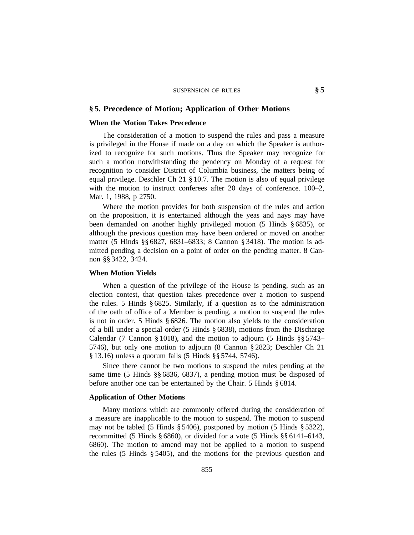# **§ 5. Precedence of Motion; Application of Other Motions**

### **When the Motion Takes Precedence**

The consideration of a motion to suspend the rules and pass a measure is privileged in the House if made on a day on which the Speaker is authorized to recognize for such motions. Thus the Speaker may recognize for such a motion notwithstanding the pendency on Monday of a request for recognition to consider District of Columbia business, the matters being of equal privilege. Deschler Ch 21 § 10.7. The motion is also of equal privilege with the motion to instruct conferees after 20 days of conference. 100–2, Mar. 1, 1988, p 2750.

Where the motion provides for both suspension of the rules and action on the proposition, it is entertained although the yeas and nays may have been demanded on another highly privileged motion (5 Hinds § 6835), or although the previous question may have been ordered or moved on another matter (5 Hinds §§ 6827, 6831–6833; 8 Cannon § 3418). The motion is admitted pending a decision on a point of order on the pending matter. 8 Cannon §§ 3422, 3424.

## **When Motion Yields**

When a question of the privilege of the House is pending, such as an election contest, that question takes precedence over a motion to suspend the rules. 5 Hinds § 6825. Similarly, if a question as to the administration of the oath of office of a Member is pending, a motion to suspend the rules is not in order. 5 Hinds § 6826. The motion also yields to the consideration of a bill under a special order (5 Hinds § 6838), motions from the Discharge Calendar (7 Cannon § 1018), and the motion to adjourn (5 Hinds §§ 5743– 5746), but only one motion to adjourn (8 Cannon § 2823; Deschler Ch 21 § 13.16) unless a quorum fails (5 Hinds §§ 5744, 5746).

Since there cannot be two motions to suspend the rules pending at the same time (5 Hinds §§ 6836, 6837), a pending motion must be disposed of before another one can be entertained by the Chair. 5 Hinds § 6814.

### **Application of Other Motions**

Many motions which are commonly offered during the consideration of a measure are inapplicable to the motion to suspend. The motion to suspend may not be tabled (5 Hinds § 5406), postponed by motion (5 Hinds § 5322), recommitted (5 Hinds § 6860), or divided for a vote (5 Hinds §§ 6141–6143, 6860). The motion to amend may not be applied to a motion to suspend the rules (5 Hinds § 5405), and the motions for the previous question and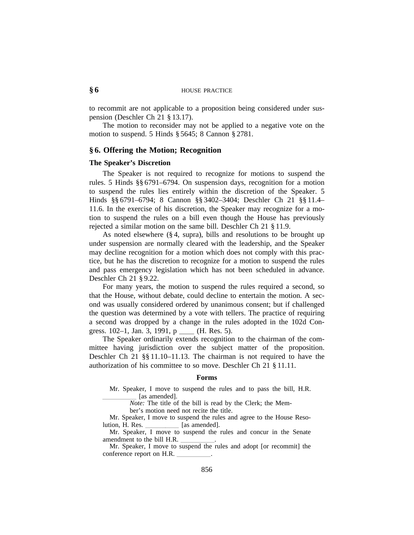to recommit are not applicable to a proposition being considered under suspension (Deschler Ch 21 § 13.17).

The motion to reconsider may not be applied to a negative vote on the motion to suspend. 5 Hinds § 5645; 8 Cannon § 2781.

# **§ 6. Offering the Motion; Recognition**

### **The Speaker's Discretion**

The Speaker is not required to recognize for motions to suspend the rules. 5 Hinds §§ 6791–6794. On suspension days, recognition for a motion to suspend the rules lies entirely within the discretion of the Speaker. 5 Hinds §§ 6791–6794; 8 Cannon §§ 3402–3404; Deschler Ch 21 §§ 11.4– 11.6. In the exercise of his discretion, the Speaker may recognize for a motion to suspend the rules on a bill even though the House has previously rejected a similar motion on the same bill. Deschler Ch 21 § 11.9.

As noted elsewhere (§ 4, supra), bills and resolutions to be brought up under suspension are normally cleared with the leadership, and the Speaker may decline recognition for a motion which does not comply with this practice, but he has the discretion to recognize for a motion to suspend the rules and pass emergency legislation which has not been scheduled in advance. Deschler Ch 21 § 9.22.

For many years, the motion to suspend the rules required a second, so that the House, without debate, could decline to entertain the motion. A second was usually considered ordered by unanimous consent; but if challenged the question was determined by a vote with tellers. The practice of requiring a second was dropped by a change in the rules adopted in the 102d Congress.  $102-1$ , Jan. 3, 1991, p \_\_\_\_ (H. Res. 5).

The Speaker ordinarily extends recognition to the chairman of the committee having jurisdiction over the subject matter of the proposition. Deschler Ch 21 §§ 11.10–11.13. The chairman is not required to have the authorization of his committee to so move. Deschler Ch 21 § 11.11.

#### **Forms**

Mr. Speaker, I move to suspend the rules and to pass the bill, H.R. [as amended].

*Note:* The title of the bill is read by the Clerk; the Mem-

ber's motion need not recite the title.

Mr. Speaker, I move to suspend the rules and agree to the House Reso-<br>lution, H. Res. [as amended].  $\Box$  [as amended].

Mr. Speaker, I move to suspend the rules and concur in the Senate amendment to the bill H.R.

Mr. Speaker, I move to suspend the rules and adopt [or recommit] the conference report on H.R.  $\overline{a}$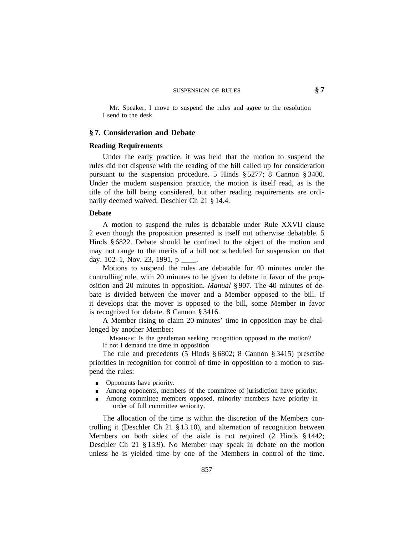# SUSPENSION OF RULES **§ 7**

Mr. Speaker, I move to suspend the rules and agree to the resolution I send to the desk.

# **§ 7. Consideration and Debate**

#### **Reading Requirements**

Under the early practice, it was held that the motion to suspend the rules did not dispense with the reading of the bill called up for consideration pursuant to the suspension procedure. 5 Hinds § 5277; 8 Cannon § 3400. Under the modern suspension practice, the motion is itself read, as is the title of the bill being considered, but other reading requirements are ordinarily deemed waived. Deschler Ch 21 § 14.4.

#### **Debate**

A motion to suspend the rules is debatable under Rule XXVII clause 2 even though the proposition presented is itself not otherwise debatable. 5 Hinds § 6822. Debate should be confined to the object of the motion and may not range to the merits of a bill not scheduled for suspension on that day. 102–1, Nov. 23, 1991, p $\_\_\_\_\$ .

Motions to suspend the rules are debatable for 40 minutes under the controlling rule, with 20 minutes to be given to debate in favor of the proposition and 20 minutes in opposition. *Manual* § 907. The 40 minutes of debate is divided between the mover and a Member opposed to the bill. If it develops that the mover is opposed to the bill, some Member in favor is recognized for debate. 8 Cannon § 3416.

A Member rising to claim 20-minutes' time in opposition may be challenged by another Member:

MEMBER: Is the gentleman seeking recognition opposed to the motion? If not I demand the time in opposition.

The rule and precedents (5 Hinds § 6802; 8 Cannon § 3415) prescribe priorities in recognition for control of time in opposition to a motion to suspend the rules:

- $\Box$  Opponents have priority.
- Among opponents, members of the committee of jurisdiction have priority.
- Among committee members opposed, minority members have priority in order of full committee seniority.

The allocation of the time is within the discretion of the Members controlling it (Deschler Ch 21 § 13.10), and alternation of recognition between Members on both sides of the aisle is not required (2 Hinds § 1442; Deschler Ch 21 § 13.9). No Member may speak in debate on the motion unless he is yielded time by one of the Members in control of the time.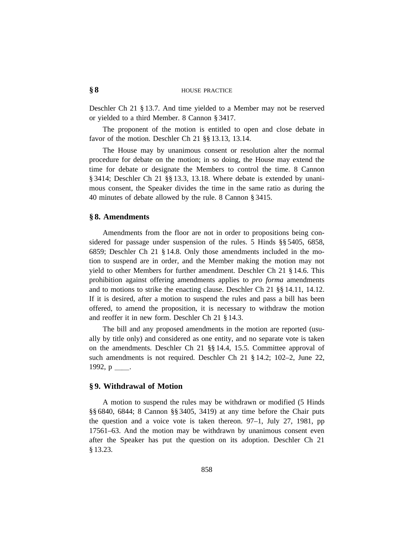# **§ 8** HOUSE PRACTICE

Deschler Ch 21 § 13.7. And time yielded to a Member may not be reserved or yielded to a third Member. 8 Cannon § 3417.

The proponent of the motion is entitled to open and close debate in favor of the motion. Deschler Ch 21 §§ 13.13, 13.14.

The House may by unanimous consent or resolution alter the normal procedure for debate on the motion; in so doing, the House may extend the time for debate or designate the Members to control the time. 8 Cannon § 3414; Deschler Ch 21 §§ 13.3, 13.18. Where debate is extended by unanimous consent, the Speaker divides the time in the same ratio as during the 40 minutes of debate allowed by the rule. 8 Cannon § 3415.

# **§ 8. Amendments**

Amendments from the floor are not in order to propositions being considered for passage under suspension of the rules. 5 Hinds §§ 5405, 6858, 6859; Deschler Ch 21 § 14.8. Only those amendments included in the motion to suspend are in order, and the Member making the motion may not yield to other Members for further amendment. Deschler Ch 21 § 14.6. This prohibition against offering amendments applies to *pro forma* amendments and to motions to strike the enacting clause. Deschler Ch 21 §§ 14.11, 14.12. If it is desired, after a motion to suspend the rules and pass a bill has been offered, to amend the proposition, it is necessary to withdraw the motion and reoffer it in new form. Deschler Ch 21 § 14.3.

The bill and any proposed amendments in the motion are reported (usually by title only) and considered as one entity, and no separate vote is taken on the amendments. Deschler Ch 21 §§ 14.4, 15.5. Committee approval of such amendments is not required. Deschler Ch 21 § 14.2; 102–2, June 22, 1992,  $p$  \_\_\_.

#### **§ 9. Withdrawal of Motion**

A motion to suspend the rules may be withdrawn or modified (5 Hinds §§ 6840, 6844; 8 Cannon §§ 3405, 3419) at any time before the Chair puts the question and a voice vote is taken thereon. 97–1, July 27, 1981, pp 17561–63. And the motion may be withdrawn by unanimous consent even after the Speaker has put the question on its adoption. Deschler Ch 21 § 13.23.